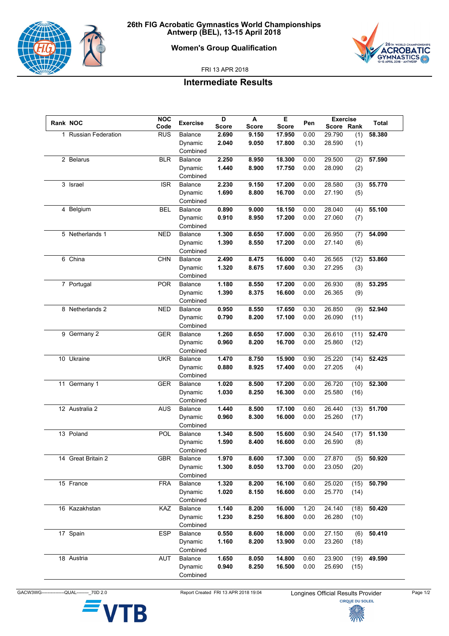

## **Women's Group Qualification**



FRI 13 APR 2018

## **Intermediate Results**

| Rank NOC |                      | <b>NOC</b> | <b>Exercise</b>    | D              | A              | E                | Pen          | <b>Exercise</b>  |              | Total  |
|----------|----------------------|------------|--------------------|----------------|----------------|------------------|--------------|------------------|--------------|--------|
|          |                      | Code       |                    | <b>Score</b>   | <b>Score</b>   | <b>Score</b>     |              | Score Rank       |              |        |
|          | 1 Russian Federation | <b>RUS</b> | Balance            | 2.690          | 9.150          | 17.950           | 0.00         | 29.790           | (1)          | 58.380 |
|          |                      |            | Dynamic            | 2.040          | 9.050          | 17.800           | 0.30         | 28.590           | (1)          |        |
|          |                      |            | Combined           |                |                |                  |              |                  |              |        |
|          | 2 Belarus            | <b>BLR</b> | Balance            | 2.250          | 8.950          | 18.300           | 0.00         | 29.500           | (2)          | 57.590 |
|          |                      |            | Dynamic            | 1.440          | 8.900          | 17.750           | 0.00         | 28.090           | (2)          |        |
|          |                      |            | Combined           |                |                |                  |              |                  |              |        |
|          | 3 Israel             | <b>ISR</b> | Balance            | 2.230          | 9.150          | 17.200           | 0.00         | 28.580           | (3)          | 55.770 |
|          |                      |            | Dynamic            | 1.690          | 8.800          | 16.700           | 0.00         | 27.190           | (5)          |        |
|          |                      |            | Combined           |                |                |                  |              |                  |              |        |
|          | 4 Belgium            | <b>BEL</b> | Balance            | 0.890          | 9.000          | 18.150           | 0.00         | 28.040           | (4)          | 55.100 |
|          |                      |            | Dynamic            | 0.910          | 8.950          | 17.200           | 0.00         | 27.060           | (7)          |        |
|          |                      |            | Combined           |                |                |                  |              |                  |              |        |
|          | 5 Netherlands 1      | <b>NED</b> | Balance            | 1.300          | 8.650          | 17.000           | 0.00         | 26.950           | (7)          | 54.090 |
|          |                      |            | Dynamic            | 1.390          | 8.550          | 17.200           | 0.00         | 27.140           | (6)          |        |
|          |                      |            | Combined           |                |                |                  |              |                  |              |        |
|          | 6 China              | <b>CHN</b> | <b>Balance</b>     | 2.490          | 8.475          | 16.000           | 0.40         | 26.565           | (12)         | 53.860 |
|          |                      |            | Dynamic            | 1.320          | 8.675          | 17.600           | 0.30         | 27.295           | (3)          |        |
|          |                      |            | Combined           |                |                |                  |              |                  |              |        |
|          | 7 Portugal           | <b>POR</b> | Balance            | 1.180          | 8.550          | 17.200           | 0.00         | 26.930           | (8)          | 53.295 |
|          |                      |            | Dynamic            | 1.390          | 8.375          | 16.600           | 0.00         | 26.365           | (9)          |        |
|          |                      |            | Combined           |                |                |                  |              |                  |              |        |
|          | 8 Netherlands 2      | <b>NED</b> | Balance            | 0.950          | 8.550          | 17.650           | 0.30         | 26.850           | (9)          | 52.940 |
|          |                      |            | Dynamic            | 0.790          | 8.200          | 17.100           | 0.00         | 26.090           | (11)         |        |
|          |                      |            | Combined           |                |                |                  |              |                  |              |        |
|          | 9 Germany 2          | <b>GER</b> | Balance            | 1.260          | 8.650          | 17.000           | 0.30         | 26.610           | (11)         | 52.470 |
|          |                      |            | Dynamic            | 0.960          | 8.200          | 16.700           | 0.00         | 25.860           | (12)         |        |
|          |                      |            | Combined           |                |                |                  |              |                  |              |        |
|          | 10 Ukraine           | <b>UKR</b> | <b>Balance</b>     | 1.470          | 8.750          | 15.900           | 0.90         | 25.220           | (14)         | 52.425 |
|          |                      |            | Dynamic            | 0.880          | 8.925          | 17.400           | 0.00         | 27.205           | (4)          |        |
|          |                      |            | Combined           |                |                |                  |              |                  |              |        |
|          | 11 Germany 1         | <b>GER</b> | Balance            | 1.020          | 8.500          | 17.200           | 0.00         | 26.720           | (10)         | 52.300 |
|          |                      |            | Dynamic            | 1.030          | 8.250          | 16.300           | 0.00         | 25.580           | (16)         |        |
|          |                      |            | Combined           |                |                |                  |              |                  |              |        |
|          | 12 Australia 2       | <b>AUS</b> | Balance            | 1.440          | 8.500          | 17.100           | 0.60         | 26.440           | (13)         | 51.700 |
|          |                      |            | Dynamic            | 0.960          | 8.300          | 16.000           | 0.00         | 25.260           | (17)         |        |
|          |                      |            | Combined           |                |                |                  |              |                  |              |        |
|          | 13 Poland            | POL        | <b>Balance</b>     | 1.340          | 8.500          | 15.600           | 0.90         | 24.540           | (17)         | 51.130 |
|          |                      |            | Dynamic            | 1.590          | 8.400          | 16.600           | 0.00         | 26.590           | (8)          |        |
|          |                      |            | Combined           |                |                |                  |              |                  |              |        |
|          | 14 Great Britain 2   | <b>GBR</b> | Balance            | 1.970          | 8.600          | 17.300           | 0.00         | 27.870           | (5)          | 50.920 |
|          |                      |            | Dynamic            | 1.300          | 8.050          | 13.700           | 0.00         | 23.050           | (20)         |        |
|          |                      |            | Combined           |                |                |                  |              |                  |              |        |
|          | 15 France            | <b>FRA</b> | Balance            | 1.320          | 8.200          | 16.100           | 0.60         | 25.020           | (15)         | 50.790 |
|          |                      |            | Dynamic            | 1.020          | 8.150          | 16.600           | 0.00         | 25.770           | (14)         |        |
|          |                      |            | Combined           |                |                |                  |              |                  |              |        |
|          | 16 Kazakhstan        | KAZ        | Balance            | 1.140          | 8.200          | 16.000           | 1.20         | 24.140           | (18)         | 50.420 |
|          |                      |            | Dynamic            | 1.230          | 8.250          | 16.800           | 0.00         | 26.280           | (10)         |        |
|          |                      |            | Combined           |                |                |                  |              |                  |              |        |
|          | 17 Spain             | <b>ESP</b> | Balance            | 0.550          | 8.600          | 18.000           | 0.00         | 27.150           | (6)          | 50.410 |
|          |                      |            | Dynamic            | 1.160          | 8.200          | 13.900           | 0.00         | 23.260           | (18)         |        |
|          |                      |            | Combined           |                |                |                  |              |                  |              |        |
|          |                      |            |                    |                |                |                  |              |                  |              |        |
|          |                      |            |                    |                |                |                  |              |                  |              |        |
|          | 18 Austria           | AUT        | Balance<br>Dynamic | 1.650<br>0.940 | 8.050<br>8.250 | 14.800<br>16.500 | 0.60<br>0.00 | 23.900<br>25.690 | (19)<br>(15) | 49.590 |

GACW3WG--------------QUAL---------<sub>\_</sub>70D 2.0 Report Created FRI 13 APR 2018 19:04 Longines Official Results Provider Page 1/2<br>CIRQUE DU SOLEIL

ГB